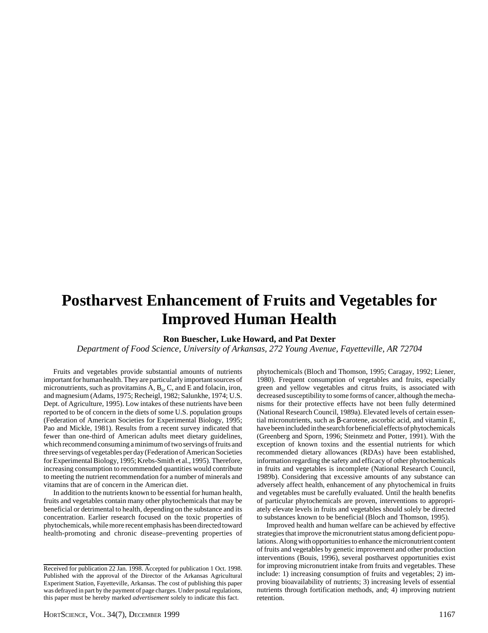# **Postharvest Enhancement of Fruits and Vegetables for Improved Human Health**

# **Ron Buescher, Luke Howard, and Pat Dexter**

*Department of Food Science, University of Arkansas, 272 Young Avenue, Fayetteville, AR 72704*

Fruits and vegetables provide substantial amounts of nutrients important for human health. They are particularly important sources of micronutrients, such as provitamins  $A, B_6, C$ , and E and folacin, iron, and magnesium (Adams, 1975; Recheigl, 1982; Salunkhe, 1974; U.S. Dept. of Agriculture, 1995). Low intakes of these nutrients have been reported to be of concern in the diets of some U.S. population groups (Federation of American Societies for Experimental Biology, 1995; Pao and Mickle, 1981). Results from a recent survey indicated that fewer than one-third of American adults meet dietary guidelines, which recommend consuming a minimum of two servings of fruits and three servings of vegetables per day (Federation of American Societies for Experimental Biology, 1995; Krebs-Smith et al., 1995). Therefore, increasing consumption to recommended quantities would contribute to meeting the nutrient recommendation for a number of minerals and vitamins that are of concern in the American diet.

In addition to the nutrients known to be essential for human health, fruits and vegetables contain many other phytochemicals that may be beneficial or detrimental to health, depending on the substance and its concentration. Earlier research focused on the toxic properties of phytochemicals, while more recent emphasis has been directed toward health-promoting and chronic disease–preventing properties of phytochemicals (Bloch and Thomson, 1995; Caragay, 1992; Liener, 1980). Frequent consumption of vegetables and fruits, especially green and yellow vegetables and citrus fruits, is associated with decreased susceptibility to some forms of cancer, although the mechanisms for their protective effects have not been fully determined (National Research Council, 1989a). Elevated levels of certain essential micronutrients, such as β-carotene, ascorbic acid, and vitamin E, have been included in the search for beneficial effects of phytochemicals (Greenberg and Sporn, 1996; Steinmetz and Potter, 1991). With the exception of known toxins and the essential nutrients for which recommended dietary allowances (RDAs) have been established, information regarding the safety and efficacy of other phytochemicals in fruits and vegetables is incomplete (National Research Council, 1989b). Considering that excessive amounts of any substance can adversely affect health, enhancement of any phytochemical in fruits and vegetables must be carefully evaluated. Until the health benefits of particular phytochemicals are proven, interventions to appropriately elevate levels in fruits and vegetables should solely be directed to substances known to be beneficial (Bloch and Thomson, 1995).

Improved health and human welfare can be achieved by effective strategies that improve the micronutrient status among deficient populations. Along with opportunities to enhance the micronutrient content of fruits and vegetables by genetic improvement and other production interventions (Bouis, 1996), several postharvest opportunities exist for improving micronutrient intake from fruits and vegetables. These include: 1) increasing consumption of fruits and vegetables; 2) improving bioavailability of nutrients; 3) increasing levels of essential nutrients through fortification methods, and; 4) improving nutrient retention.

Received for publication 22 Jan. 1998. Accepted for publication 1 Oct. 1998. Published with the approval of the Director of the Arkansas Agricultural Experiment Station, Fayetteville, Arkansas. The cost of publishing this paper was defrayed in part by the payment of page charges. Under postal regulations, this paper must be hereby marked *advertisement* solely to indicate this fact.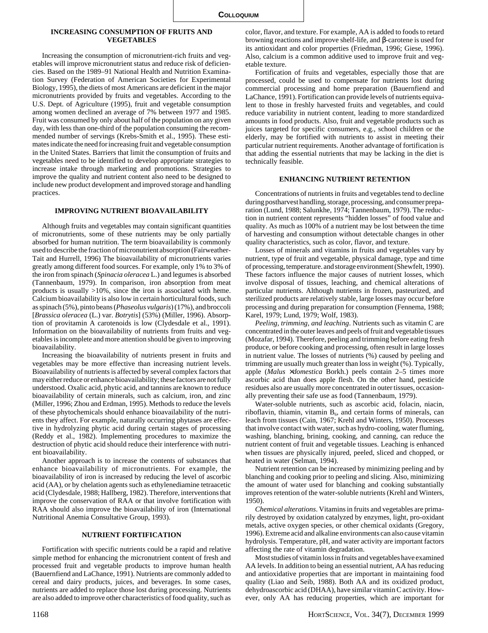### **INCREASING CONSUMPTION OF FRUITS AND VEGETABLES**

Increasing the consumption of micronutrient-rich fruits and vegetables will improve micronutrient status and reduce risk of deficiencies. Based on the 1989–91 National Health and Nutrition Examination Survey (Federation of American Societies for Experimental Biology, 1995), the diets of most Americans are deficient in the major micronutrients provided by fruits and vegetables. According to the U.S. Dept. of Agriculture (1995), fruit and vegetable consumption among women declined an average of 7% between 1977 and 1985. Fruit was consumed by only about half of the population on any given day, with less than one-third of the population consuming the recommended number of servings (Krebs-Smith et al., 1995). These estimates indicate the need for increasing fruit and vegetable consumption in the United States. Barriers that limit the consumption of fruits and vegetables need to be identified to develop appropriate strategies to increase intake through marketing and promotions. Strategies to improve the quality and nutrient content also need to be designed to include new product development and improved storage and handling practices.

## **IMPROVING NUTRIENT BIOAVAILABILITY**

Although fruits and vegetables may contain significant quantities of micronutrients, some of these nutrients may be only partially absorbed for human nutrition. The term bioavailability is commonly used to describe the fraction of micronutrient absorption (Fairweather-Tait and Hurrell, 1996) The bioavailability of micronutrients varies greatly among different food sources. For example, only 1% to 3% of the iron from spinach (*Spinacia oleracea* L.) and legumes is absorbed (Tannenbaum, 1979). In comparison, iron absorption from meat products is usually >10%, since the iron is associated with heme. Calcium bioavailability is also low in certain horticultural foods, such as spinach (5%), pinto beans (*Phaseolus vulgaris*) (17%), and broccoli [*Brassica oleracea* (L.) var. *Botrytis*] (53%) (Miller, 1996). Absorption of provitamin A carotenoids is low (Clydesdale et al., 1991). Information on the bioavailability of nutrients from fruits and vegetables is incomplete and more attention should be given to improving bioavailability.

Increasing the bioavailability of nutrients present in fruits and vegetables may be more effective than increasing nutrient levels. Bioavailability of nutrients is affected by several complex factors that may either reduce or enhance bioavailability; these factors are not fully understood. Oxalic acid, phytic acid, and tannins are known to reduce bioavailability of certain minerals, such as calcium, iron, and zinc (Miller, 1996; Zhou and Erdman, 1995). Methods to reduce the levels of these phytochemicals should enhance bioavailability of the nutrients they affect. For example, naturally occurring phytases are effective in hydrolyzing phytic acid during certain stages of processing (Reddy et al., 1982). Implementing procedures to maximize the destruction of phytic acid should reduce their interference with nutrient bioavailability.

Another approach is to increase the contents of substances that enhance bioavailability of micronutrients. For example, the bioavailability of iron is increased by reducing the level of ascorbic acid (AA), or by chelation agents such as ethylenediamine tetraacetic acid (Clydesdale, 1988; Hallberg, 1982). Therefore, interventions that improve the conservation of RAA or that involve fortification with RAA should also improve the bioavailability of iron (International Nutritional Anemia Consultative Group, 1993).

#### **NUTRIENT FORTIFICATION**

Fortification with specific nutrients could be a rapid and relative simple method for enhancing the micronutrient content of fresh and processed fruit and vegetable products to improve human health (Bauernfiend and LaChance, 1991). Nutrients are commonly added to cereal and dairy products, juices, and beverages. In some cases, nutrients are added to replace those lost during processing. Nutrients are also added to improve other characteristics of food quality, such as

color, flavor, and texture. For example, AA is added to foods to retard browning reactions and improve shelf-life, and β-carotene is used for its antioxidant and color properties (Friedman, 1996; Giese, 1996). Also, calcium is a common additive used to improve fruit and vegetable texture.

Fortification of fruits and vegetables, especially those that are processed, could be used to compensate for nutrients lost during commercial processing and home preparation (Bauernfiend and LaChance, 1991). Fortification can provide levels of nutrients equivalent to those in freshly harvested fruits and vegetables, and could reduce variability in nutrient content, leading to more standardized amounts in food products. Also, fruit and vegetable products such as juices targeted for specific consumers, e.g., school children or the elderly, may be fortified with nutrients to assist in meeting their particular nutrient requirements. Another advantage of fortification is that adding the essential nutrients that may be lacking in the diet is technically feasible.

#### **ENHANCING NUTRIENT RETENTION**

Concentrations of nutrients in fruits and vegetables tend to decline during postharvest handling, storage, processing, and consumer preparation (Lund, 1988; Salunkhe, 1974; Tannenbaum, 1979). The reduction in nutrient content represents "hidden losses" of food value and quality. As much as 100% of a nutrient may be lost between the time of harvesting and consumption without detectable changes in other quality characteristics, such as color, flavor, and texture.

Losses of minerals and vitamins in fruits and vegetables vary by nutrient, type of fruit and vegetable, physical damage, type and time of processing, temperature. and storage environment (Shewfelt, 1990). These factors influence the major causes of nutrient losses, which involve disposal of tissues, leaching, and chemical alterations of particular nutrients. Although nutrients in frozen, pasteurized, and sterilized products are relatively stable, large losses may occur before processing and during preparation for consumption (Fennema, 1988; Karel, 1979; Lund, 1979; Wolf, 1983).

*Peeling, trimming, and leaching*. Nutrients such as vitamin C are concentrated in the outer leaves and peels of fruit and vegetable tissues (Mozafar, 1994). Therefore, peeling and trimming before eating fresh produce, or before cooking and processing, often result in large losses in nutrient value. The losses of nutrients (%) caused by peeling and trimming are usually much greater than loss in weight (%). Typically, apple (*Malus* ×*domestica* Borkh.) peels contain 2–5 times more ascorbic acid than does apple flesh. On the other hand, pesticide residues also are usually more concentrated in outer tissues, occasionally preventing their safe use as food (Tannenbaum, 1979).

Water-soluble nutrients, such as ascorbic acid, folacin, niacin, riboflavin, thiamin, vitamin  $B_6$ , and certain forms of minerals, can leach from tissues (Cain, 1967; Krehl and Winters, 1950). Processes that involve contact with water, such as hydro-cooling, water fluming, washing, blanching, brining, cooking, and canning, can reduce the nutrient content of fruit and vegetable tissues. Leaching is enhanced when tissues are physically injured, peeled, sliced and chopped, or heated in water (Selman, 1994).

Nutrient retention can be increased by minimizing peeling and by blanching and cooking prior to peeling and slicing. Also, minimizing the amount of water used for blanching and cooking substantially improves retention of the water-soluble nutrients (Krehl and Winters, 1950).

*Chemical alterations*. Vitamins in fruits and vegetables are primarily destroyed by oxidation catalyzed by enzymes, light, pro-oxidant metals, active oxygen species, or other chemical oxidants (Gregory, 1996). Extreme acid and alkaline environments can also cause vitamin hydrolysis. Temperature, pH, and water activity are important factors affecting the rate of vitamin degradation.

Most studies of vitamin loss in fruits and vegetables have examined AA levels. In addition to being an essential nutrient, AA has reducing and antioxidative properties that are important in maintaining food quality (Liao and Seib, 1988). Both AA and its oxidized product, dehydroascorbic acid (DHAA), have similar vitamin C activity. However, only AA has reducing properties, which are important for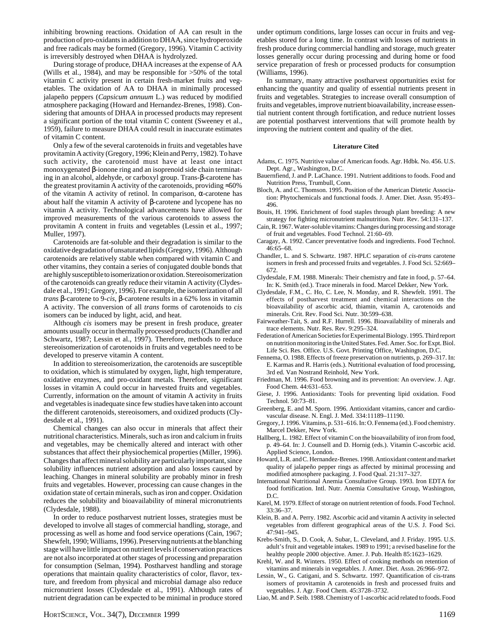inhibiting browning reactions. Oxidation of AA can result in the production of pro-oxidants in addition to DHAA, since hydroperoxide and free radicals may be formed (Gregory, 1996). Vitamin C activity is irreversibly destroyed when DHAA is hydrolyzed.

During storage of produce, DHAA increases at the expense of AA (Wills et al., 1984), and may be responsible for >50% of the total vitamin C activity present in certain fresh-market fruits and vegetables. The oxidation of AA to DHAA in minimally processed jalapeño peppers (*Capsicum annuum* L.) was reduced by modified atmosphere packaging (Howard and Hernandez-Brenes, 1998). Considering that amounts of DHAA in processed products may represent a significant portion of the total vitamin C content (Sweeney et al., 1959), failure to measure DHAA could result in inaccurate estimates of vitamin C content.

Only a few of the several carotenoids in fruits and vegetables have provitamin A activity (Gregory, 1996; Klein and Perry, 1982). To have such activity, the carotenoid must have at least one intact monoxygenated β-ionone ring and an isoprenoid side chain terminating in an alcohol, aldehyde, or carboxyl group. Trans-β-carotene has the greatest provitamin A activity of the carotenoids, providing ≈50% of the vitamin A activity of retinol. In comparison, α-carotene has about half the vitamin A activity of β-carotene and lycopene has no vitamin A activity. Technological advancements have allowed for improved measurements of the various carotenoids to assess the provitamin A content in fruits and vegetables (Lessin et al., 1997; Muller, 1997).

Carotenoids are fat-soluble and their degradation is similar to the oxidative degradation of unsaturated lipids (Gregory, 1996). Although carotenoids are relatively stable when compared with vitamin C and other vitamins, they contain a series of conjugated double bonds that are highly susceptible to isomerization or oxidation. Stereoisomerization of the carotenoids can greatly reduce their vitamin A activity (Clydesdale et al., 1991; Gregory, 1996). For example, the isomerization of all *trans* β-carotene to 9-*cis*, β-carotene results in a 62% loss in vitamin A activity. The conversion of all *trans* forms of carotenoids to *cis* isomers can be induced by light, acid, and heat.

Although *cis* isomers may be present in fresh produce, greater amounts usually occur in thermally processed products (Chandler and Schwartz, 1987; Lessin et al., 1997). Therefore, methods to reduce stereoisomerization of carotenoids in fruits and vegetables need to be developed to preserve vitamin A content.

In addition to stereoisomerization, the carotenoids are susceptible to oxidation, which is stimulated by oxygen, light, high temperature, oxidative enzymes, and pro-oxidant metals. Therefore, significant losses in vitamin A could occur in harvested fruits and vegetables. Currently, information on the amount of vitamin A activity in fruits and vegetables is inadequate since few studies have taken into account the different carotenoids, stereoisomers, and oxidized products (Clydesdale et al., 1991).

Chemical changes can also occur in minerals that affect their nutritional characteristics. Minerals, such as iron and calcium in fruits and vegetables, may be chemically altered and interact with other substances that affect their physiochemical properties (Miller, 1996). Changes that affect mineral solubility are particularly important, since solubility influences nutrient adsorption and also losses caused by leaching. Changes in mineral solubility are probably minor in fresh fruits and vegetables. However, processing can cause changes in the oxidation state of certain minerals, such as iron and copper. Oxidation reduces the solubility and bioavailability of mineral micronutrients (Clydesdale, 1988).

In order to reduce postharvest nutrient losses, strategies must be developed to involve all stages of commercial handling, storage, and processing as well as home and food service operations (Cain, 1967; Shewfelt, 1990; Williams, 1996). Preserving nutrients at the blanching stage will have little impact on nutrient levels if conservation practices are not also incorporated at other stages of processing and preparation for consumption (Selman, 1994). Postharvest handling and storage operations that maintain quality characteristics of color, flavor, texture, and freedom from physical and microbial damage also reduce micronutrient losses (Clydesdale et al., 1991). Although rates of nutrient degradation can be expected to be minimal in produce stored under optimum conditions, large losses can occur in fruits and vegetables stored for a long time. In contrast with losses of nutrients in fresh produce during commercial handling and storage, much greater losses generally occur during processing and during home or food service preparation of fresh or processed products for consumption (Williams, 1996).

In summary, many attractive postharvest opportunities exist for enhancing the quantity and quality of essential nutrients present in fruits and vegetables. Strategies to increase overall consumption of fruits and vegetables, improve nutrient bioavailability, increase essential nutrient content through fortification, and reduce nutrient losses are potential postharvest interventions that will promote health by improving the nutrient content and quality of the diet.

#### **Literature Cited**

- Adams, C. 1975. Nutritive value of American foods. Agr. Hdbk. No. 456. U.S. Dept. Agr., Washington, D.C.
- Bauernfiend, J. and P. LaChance. 1991. Nutrient additions to foods. Food and Nutrition Press, Trumbull, Conn.
- Bloch, A. and C. Thomson. 1995. Position of the American Dietetic Association: Phytochemicals and functional foods. J. Amer. Diet. Assn. 95:493– 496.
- Bouis, H. 1996. Enrichment of food staples through plant breeding: A new strategy for fighting micronutrient malnutrition. Nutr. Rev. 54:131–137.
- Cain, R. 1967. Water-soluble vitamins: Changes during processing and storage of fruit and vegetables. Food Technol. 21:60–69.
- Caragay, A. 1992. Cancer preventative foods and ingredients. Food Technol. 46:65–68.
- Chandler, L. and S. Schwartz. 1987. HPLC separation of *cis*-*trans* carotene isomers in fresh and processed fruits and vegetables. J. Food Sci. 52:669– 672.
- Clydesdale, F.M. 1988. Minerals: Their chemistry and fate in food, p. 57–64. In: K. Smith (ed.). Trace minerals in food. Marcel Dekker, New York.
- Clydesdale, F.M., C. Ho, C. Lee, N. Monday, and R. Shewfelt. 1991. The effects of postharvest treatment and chemical interactions on the bioavailability of ascorbic acid, thiamin, vitamin A, carotenoids and minerals. Crit. Rev. Food Sci. Nutr. 30:599–638.
- Fairweather-Tait, S. and R.F. Hurrell. 1996. Bioavailability of minerals and trace elements. Nutr. Res. Rev. 9:295–324.
- Federation of American Societies for Experimental Biology. 1995. Third report on nutrition monitoring in the United States. Fed. Amer. Soc. for Expt. Biol. Life Sci. Res. Office. U.S. Govt. Printing Office, Washington, D.C.
- Fennema, O. 1988. Effects of freeze preservation on nutrients, p. 269–317. In: E. Karmas and R. Harris (eds.). Nutritional evaluation of food processing, 3rd ed. Van Nostrand Reinhold, New York.
- Friedman, M. 1996. Food browning and its prevention: An overview. J. Agr. Food Chem. 44:631–653.
- Giese, J. 1996. Antioxidants: Tools for preventing lipid oxidation. Food Technol. 50:73–81.
- Greenberg, E. and M. Sporn. 1996. Antioxidant vitamins, cancer and cardiovascular disease. N. Engl. J. Med. 334:11189–11190.
- Gregory, J. 1996. Vitamins, p. 531–616. In: O. Fennema (ed.). Food chemistry. Marcel Dekker, New York.
- Hallberg, L. 1982. Effect of vitamin C on the bioavailability of iron from food, p. 49–64. In: J. Counsell and D. Hornig (eds.). Vitamin C-ascorbic acid. Applied Science, London.
- Howard, L.R. and C. Hernandez-Brenes. 1998. Antioxidant content and market quality of jalapeño pepper rings as affected by minimal processing and modified atmosphere packaging. J. Food Qual. 21:317–327.
- International Nutritional Anemia Consultative Group. 1993. Iron EDTA for food fortification. Intl. Nutr. Anemia Consultative Group, Washington, D.C.
- Karel, M. 1979. Effect of storage on nutrient retention of foods. Food Technol. 33:36–37.
- Klein, B. and A. Perry. 1982. Ascorbic acid and vitamin A activity in selected vegetables from different geographical areas of the U.S. J. Food Sci. 47:941–945.
- Krebs-Smith, S., D. Cook, A. Subar, L. Cleveland, and J. Friday. 1995. U.S. adult's fruit and vegetable intakes. 1989 to 1991; a revised baseline for the healthy people 2000 objective. Amer. J. Pub. Health 85:1623–1629.
- Krehl, W. and R. Winters. 1950. Effect of cooking methods on retention of vitamins and minerals in vegetables. J. Amer. Diet. Assn. 26:966–972.
- Lessin, W., G. Catigani, and S. Schwartz. 1997. Quantification of cis-trans isomers of provitamin A carotenoids in fresh and processed fruits and vegetables. J. Agr. Food Chem. 45:3728–3732.
- Liao, M. and P. Seib. 1988. Chemistry of 1-ascorbic acid related to foods. Food